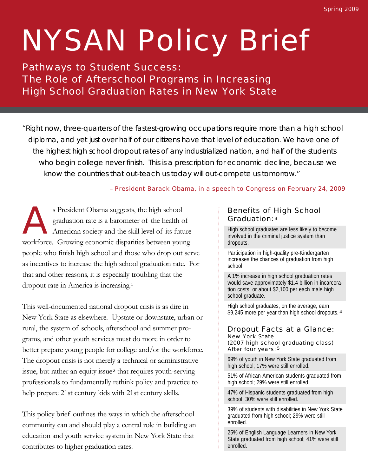# NYSAN Policy Brief

# Pathways to Student Success: The Role of Afterschool Programs in Increasing High School Graduation Rates in New York State

"Right now, three-quarters of the fastest-growing occupations require more than a high school diploma, and yet just over half of our citizens have that level of education. We have one of the highest high school dropout rates of any industrialized nation, and half of the students who begin college never finish. This is a prescription for economic decline, because we know the countries that out-teach us today will out-compete us tomorrow."

# – President Barack Obama, in a speech to Congress on February 24, 2009

As President Obama suggests, the high school graduation rate is a barometer of the health of American society and the skill level of its future workforce. Growing economic disparities between young people who finish high school and those who drop out serve as incentives to increase the high school graduation rate. For that and other reasons, it is especially troubling that the dropout rate in America is increasing.<sup>1</sup>

This well-documented national dropout crisis is as dire in New York State as elsewhere. Upstate or downstate, urban or rural, the system of schools, afterschool and summer programs, and other youth services must do more in order to better prepare young people for college and/or the workforce. The dropout crisis is not merely a technical or administrative issue, but rather an equity issue<sup>2</sup> that requires youth-serving professionals to fundamentally rethink policy and practice to help prepare 21st century kids with 21st century skills.

This policy brief outlines the ways in which the afterschool community can and should play a central role in building an education and youth service system in New York State that contributes to higher graduation rates.

# Benefits of High School Graduation: 3

High school graduates are less likely to become involved in the criminal justice system than dropouts.

Participation in high-quality pre-Kindergarten increases the chances of graduation from high school.

A 1% increase in high school graduation rates would save approximately \$1.4 billion in incarceration costs, or about \$2,100 per each male high school graduate.

High school graduates, on the average, earn \$9,245 more per year than high school dropouts. <sup>4</sup>

#### Dropout Facts at a Glance: New York State (2007 high school graduating class) After four years: 5

69% of youth in New York State graduated from high school; 17% were still enrolled.

51% of African-American students graduated from high school; 29% were still enrolled.

47% of Hispanic students graduated from high school; 30% were still enrolled.

39% of students with disabilities in New York State graduated from high school; 29% were still enrolled.

25% of English Language Learners in New York State graduated from high school; 41% were still enrolled.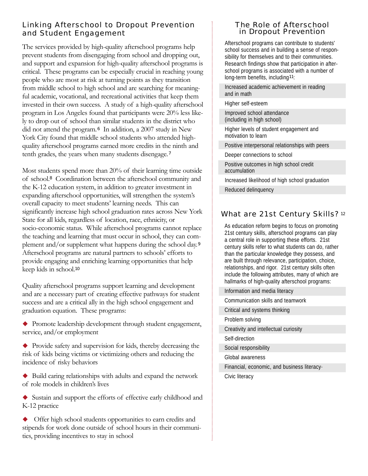# Linking Afterschool to Dropout Prevention and Student Engagement

The services provided by high-quality afterschool programs help prevent students from disengaging from school and dropping out, and support and expansion for high-quality afterschool programs is critical. These programs can be especially crucial in reaching young people who are most at risk at turning points as they transition from middle school to high school and are searching for meaningful academic, vocational, and recreational activities that keep them invested in their own success. A study of a high-quality afterschool program in Los Angeles found that participants were 20% less likely to drop out of school than similar students in the district who did not attend the program.<sup>6</sup> In addition, a 2007 study in New York City found that middle school students who attended highquality afterschool programs earned more credits in the ninth and tenth grades, the years when many students disengage.<sup>7</sup>

Most students spend more than 20% of their learning time outside of school.<sup>8</sup> Coordination between the afterschool community and the K-12 education system, in addition to greater investment in expanding afterschool opportunities, will strengthen the system's overall capacity to meet students' learning needs. This can significantly increase high school graduation rates across New York State for all kids, regardless of location, race, ethnicity, or socio-economic status. While afterschool programs cannot replace the teaching and learning that must occur in school, they can complement and/or supplement what happens during the school day.<sup>9</sup> Afterschool programs are natural partners to schools' efforts to provide engaging and enriching learning opportunities that help keep kids in school.<sup>10</sup>

Quality afterschool programs support learning and development and are a necessary part of creating effective pathways for student success and are a critical ally in the high school engagement and graduation equation. These programs:

- Promote leadership development through student engagement, service, and/or employment
- Provide safety and supervision for kids, thereby decreasing the risk of kids being victims or victimizing others and reducing the incidence of risky behaviors
- Build caring relationships with adults and expand the network of role models in children's lives
- Sustain and support the efforts of effective early childhood and K-12 practice
- Offer high school students opportunities to earn credits and stipends for work done outside of school hours in their communities, providing incentives to stay in school

#### The Role of Afterschool in Dropout Prevention

Afterschool programs can contribute to students' school success and in building a sense of responsibility for themselves and to their communities. Research findings show that participation in afterschool programs is associated with a number of long-term benefits, including11:

Increased academic achievement in reading and in math

Higher self-esteem

Improved school attendance (including in high school)

Higher levels of student engagement and motivation to learn

Positive interpersonal relationships with peers

Deeper connections to school

Positive outcomes in high school credit accumulation

Increased likelihood of high school graduation Reduced delinquency

# What are 21st Century Skills?<sup>12</sup>

As education reform begins to focus on promoting 21st century skills, afterschool programs can play a central role in supporting these efforts. 21st century skills refer to what students can do, rather than the particular knowledge they possess, and are built through relevance, participation, choice, relationships, and rigor. 21st century skills often include the following attributes, many of which are hallmarks of high-quality afterschool programs:

Information and media literacy

Communication skills and teamwork

Critical and systems thinking

Problem solving

Creativity and intellectual curiosity

Self-direction

Social responsibility

Global awareness

Financial, economic, and business literacy·

Civic literacy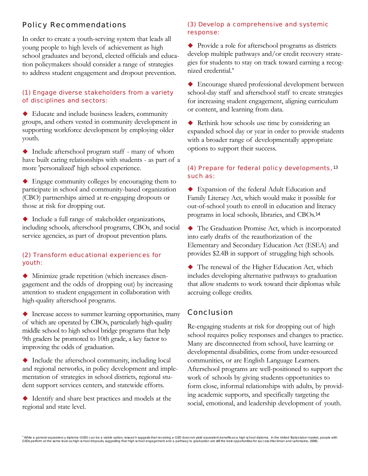# Policy Recommendations

In order to create a youth-serving system that leads all young people to high levels of achievement as high school graduates and beyond, elected officials and education policymakers should consider a range of strategies to address student engagement and dropout prevention.

#### (1) Engage diverse stakeholders from a variety of disciplines and sectors:

 Educate and include business leaders, community groups, and others vested in community development in supporting workforce development by employing older youth.

 Include afterschool program staff - many of whom have built caring relationships with students - as part of a more 'personalized' high school experience.

 Engage community colleges by encouraging them to participate in school and community-based organization (CBO) partnerships aimed at re-engaging dropouts or those at risk for dropping out.

 Include a full range of stakeholder organizations, including schools, afterschool programs, CBOs, and social service agencies, as part of dropout prevention plans.

## (2) Transform educational experiences for youth:

 Minimize grade repetition (which increases disengagement and the odds of dropping out) by increasing attention to student engagement in collaboration with high-quality afterschool programs.

 $\blacklozenge$  Increase access to summer learning opportunities, many of which are operated by CBOs, particularly high-quality middle school to high school bridge programs that help 9th graders be promoted to 10th grade, a key factor to improving the odds of graduation.

 Include the afterschool community, including local and regional networks, in policy development and implementation of strategies in school districts, regional student support services centers, and statewide efforts.

 Identify and share best practices and models at the regional and state level.

## (3) Develop a comprehensive and systemic response:

 Provide a role for afterschool programs as districts develop multiple pathways and/or credit recovery strategies for students to stay on track toward earning a recognized credential.\*

 Encourage shared professional development between school-day staff and afterschool staff to create strategies for increasing student engagement, aligning curriculum or content, and learning from data.

 Rethink how schools use time by considering an expanded school day or year in order to provide students with a broader range of developmentally appropriate options to support their success.

## (4) Prepare for federal policy developments, <sup>13</sup> such as:

 Expansion of the federal Adult Education and Family Literacy Act, which would make it possible for out-of-school youth to enroll in education and literacy programs in local schools, libraries, and CBOs.<sup>14</sup>

 The Graduation Promise Act, which is incorporated into early drafts of the reauthorization of the Elementary and Secondary Education Act (ESEA) and provides \$2.4B in support of struggling high schools.

 The renewal of the Higher Education Act, which includes developing alternative pathways to graduation that allow students to work toward their diplomas while accruing college credits.

# Conclusion

Re-engaging students at risk for dropping out of high school requires policy responses and changes to practice. Many are disconnected from school, have learning or developmental disabilities, come from under-resourced communities, or are English Language Learners. Afterschool programs are well-positioned to support the work of schools by giving students opportunities to form close, informal relationships with adults, by providing academic supports, and specifically targeting the social, emotional, and leadership development of youth.

\* While a general equivalency diploma (GED) can be a viable option, research suggests that receiving a GED does not yield equivalent benefits as a high school diploma. In the United States labor market, people with<br>GEDs pe